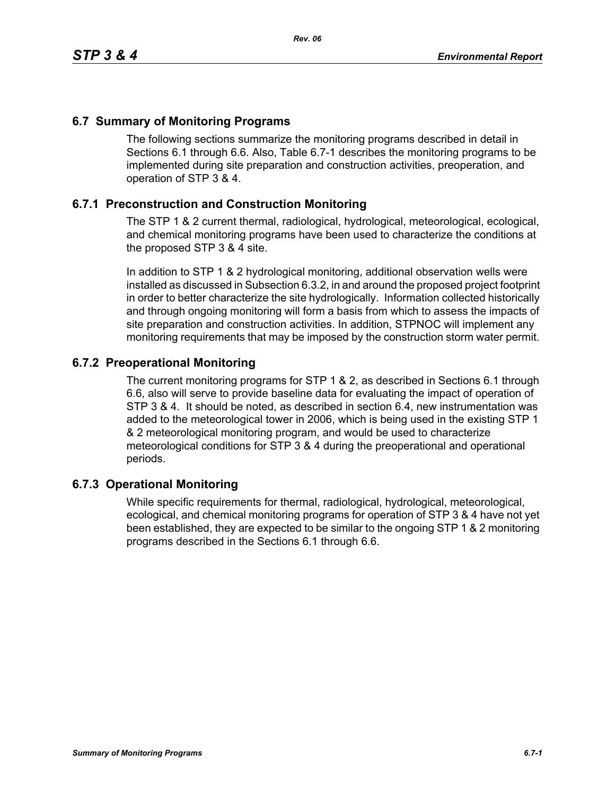## **6.7 Summary of Monitoring Programs**

The following sections summarize the monitoring programs described in detail in Sections 6.1 through 6.6. Also, Table 6.7-1 describes the monitoring programs to be implemented during site preparation and construction activities, preoperation, and operation of STP 3 & 4.

## **6.7.1 Preconstruction and Construction Monitoring**

The STP 1 & 2 current thermal, radiological, hydrological, meteorological, ecological, and chemical monitoring programs have been used to characterize the conditions at the proposed STP 3 & 4 site.

In addition to STP 1 & 2 hydrological monitoring, additional observation wells were installed as discussed in Subsection 6.3.2, in and around the proposed project footprint in order to better characterize the site hydrologically. Information collected historically and through ongoing monitoring will form a basis from which to assess the impacts of site preparation and construction activities. In addition, STPNOC will implement any monitoring requirements that may be imposed by the construction storm water permit.

## **6.7.2 Preoperational Monitoring**

The current monitoring programs for STP 1 & 2, as described in Sections 6.1 through 6.6, also will serve to provide baseline data for evaluating the impact of operation of STP 3 & 4. It should be noted, as described in section 6.4, new instrumentation was added to the meteorological tower in 2006, which is being used in the existing STP 1 & 2 meteorological monitoring program, and would be used to characterize meteorological conditions for STP 3 & 4 during the preoperational and operational periods.

## **6.7.3 Operational Monitoring**

While specific requirements for thermal, radiological, hydrological, meteorological, ecological, and chemical monitoring programs for operation of STP 3 & 4 have not yet been established, they are expected to be similar to the ongoing STP 1 & 2 monitoring programs described in the Sections 6.1 through 6.6.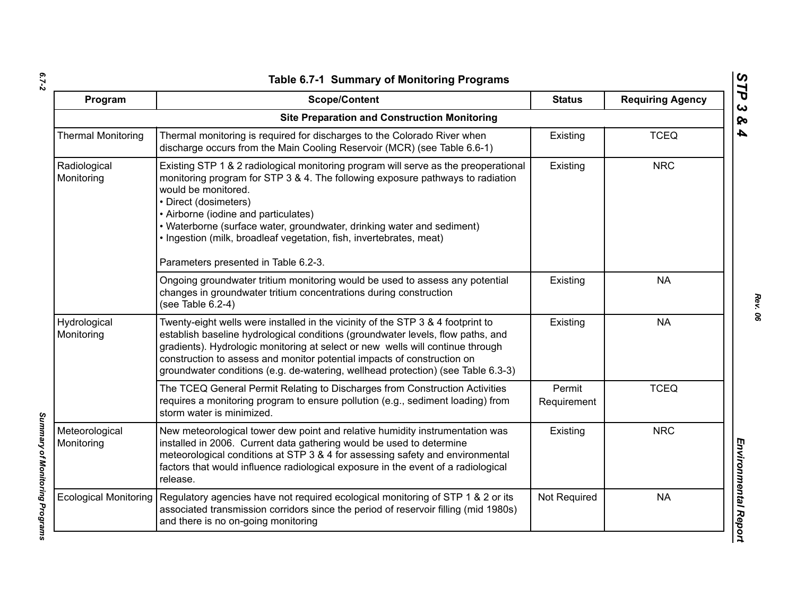| ۰.     |  |
|--------|--|
|        |  |
| $\sim$ |  |

| Program                      | <b>Scope/Content</b>                                                                                                                                                                                                                                                                                                                                                                                                                                   | <b>Status</b>         | <b>Requiring Agency</b> |
|------------------------------|--------------------------------------------------------------------------------------------------------------------------------------------------------------------------------------------------------------------------------------------------------------------------------------------------------------------------------------------------------------------------------------------------------------------------------------------------------|-----------------------|-------------------------|
|                              | <b>Site Preparation and Construction Monitoring</b>                                                                                                                                                                                                                                                                                                                                                                                                    |                       |                         |
| <b>Thermal Monitoring</b>    | Thermal monitoring is required for discharges to the Colorado River when<br>discharge occurs from the Main Cooling Reservoir (MCR) (see Table 6.6-1)                                                                                                                                                                                                                                                                                                   | Existing              | <b>TCEQ</b>             |
| Radiological<br>Monitoring   | Existing STP 1 & 2 radiological monitoring program will serve as the preoperational<br>monitoring program for STP 3 & 4. The following exposure pathways to radiation<br>would be monitored.<br>• Direct (dosimeters)<br>• Airborne (iodine and particulates)<br>• Waterborne (surface water, groundwater, drinking water and sediment)<br>. Ingestion (milk, broadleaf vegetation, fish, invertebrates, meat)<br>Parameters presented in Table 6.2-3. | Existing              | <b>NRC</b>              |
|                              | Ongoing groundwater tritium monitoring would be used to assess any potential<br>changes in groundwater tritium concentrations during construction<br>(see Table 6.2-4)                                                                                                                                                                                                                                                                                 | Existing              | <b>NA</b>               |
| Hydrological<br>Monitoring   | Twenty-eight wells were installed in the vicinity of the STP 3 & 4 footprint to<br>establish baseline hydrological conditions (groundwater levels, flow paths, and<br>gradients). Hydrologic monitoring at select or new wells will continue through<br>construction to assess and monitor potential impacts of construction on<br>groundwater conditions (e.g. de-watering, wellhead protection) (see Table 6.3-3)                                    | Existing              | <b>NA</b>               |
|                              | The TCEQ General Permit Relating to Discharges from Construction Activities<br>requires a monitoring program to ensure pollution (e.g., sediment loading) from<br>storm water is minimized.                                                                                                                                                                                                                                                            | Permit<br>Requirement | <b>TCEQ</b>             |
| Meteorological<br>Monitoring | New meteorological tower dew point and relative humidity instrumentation was<br>installed in 2006. Current data gathering would be used to determine<br>meteorological conditions at STP 3 & 4 for assessing safety and environmental<br>factors that would influence radiological exposure in the event of a radiological<br>release.                                                                                                                 | Existing              | <b>NRC</b>              |
| <b>Ecological Monitoring</b> | Regulatory agencies have not required ecological monitoring of STP 1 & 2 or its<br>associated transmission corridors since the period of reservoir filling (mid 1980s)<br>and there is no on-going monitoring                                                                                                                                                                                                                                          | Not Required          | <b>NA</b>               |

*STP 3 & 4*

Summary of Monitoring Programs *Summary of Monitoring Programs*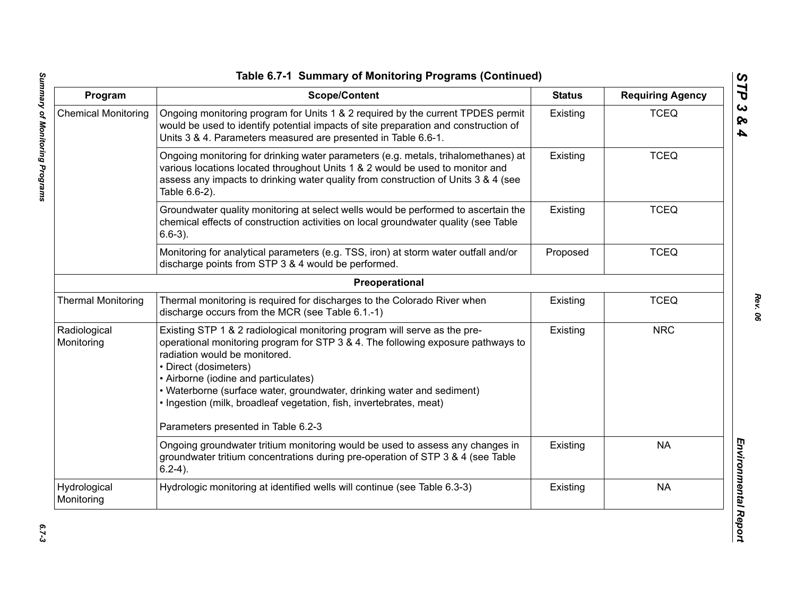| Program                    | <b>Scope/Content</b>                                                                                                                                                                                                                                                                                                                                                                                                                                    | <b>Status</b> | <b>Requiring Agency</b> |
|----------------------------|---------------------------------------------------------------------------------------------------------------------------------------------------------------------------------------------------------------------------------------------------------------------------------------------------------------------------------------------------------------------------------------------------------------------------------------------------------|---------------|-------------------------|
| <b>Chemical Monitoring</b> | Ongoing monitoring program for Units 1 & 2 required by the current TPDES permit<br>would be used to identify potential impacts of site preparation and construction of<br>Units 3 & 4. Parameters measured are presented in Table 6.6-1.                                                                                                                                                                                                                | Existing      | <b>TCEQ</b>             |
|                            | Ongoing monitoring for drinking water parameters (e.g. metals, trihalomethanes) at<br>various locations located throughout Units 1 & 2 would be used to monitor and<br>assess any impacts to drinking water quality from construction of Units 3 & 4 (see<br>Table 6.6-2).                                                                                                                                                                              | Existing      | <b>TCEQ</b>             |
|                            | Groundwater quality monitoring at select wells would be performed to ascertain the<br>chemical effects of construction activities on local groundwater quality (see Table<br>$6.6-3$ ).                                                                                                                                                                                                                                                                 | Existing      | <b>TCEQ</b>             |
|                            | Monitoring for analytical parameters (e.g. TSS, iron) at storm water outfall and/or<br>discharge points from STP 3 & 4 would be performed.                                                                                                                                                                                                                                                                                                              | Proposed      | <b>TCEQ</b>             |
|                            | Preoperational                                                                                                                                                                                                                                                                                                                                                                                                                                          |               |                         |
| <b>Thermal Monitoring</b>  | Thermal monitoring is required for discharges to the Colorado River when<br>discharge occurs from the MCR (see Table 6.1.-1)                                                                                                                                                                                                                                                                                                                            | Existing      | <b>TCEQ</b>             |
| Radiological<br>Monitoring | Existing STP 1 & 2 radiological monitoring program will serve as the pre-<br>operational monitoring program for STP 3 & 4. The following exposure pathways to<br>radiation would be monitored.<br>• Direct (dosimeters)<br>• Airborne (iodine and particulates)<br>• Waterborne (surface water, groundwater, drinking water and sediment)<br>. Ingestion (milk, broadleaf vegetation, fish, invertebrates, meat)<br>Parameters presented in Table 6.2-3 | Existing      | <b>NRC</b>              |
|                            | Ongoing groundwater tritium monitoring would be used to assess any changes in<br>groundwater tritium concentrations during pre-operation of STP 3 & 4 (see Table<br>$6.2-4$ ).                                                                                                                                                                                                                                                                          | Existing      | <b>NA</b>               |
| Hydrological<br>Monitoring | Hydrologic monitoring at identified wells will continue (see Table 6.3-3)                                                                                                                                                                                                                                                                                                                                                                               | Existing      | <b>NA</b>               |

*STP 3 & 4*

 $6.7 - 3$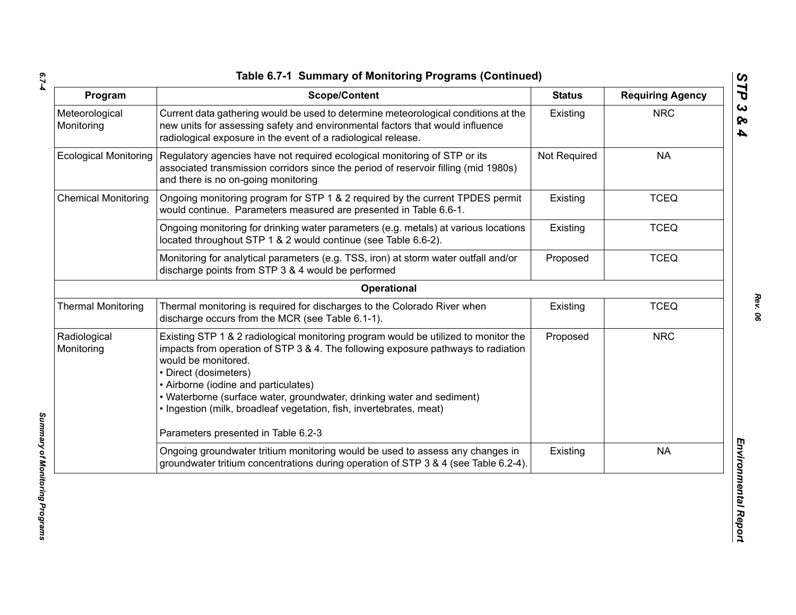*6.7-4*

| Program                      | <b>Scope/Content</b>                                                                                                                                                                                                                                                                                                                                                                                              | <b>Status</b> | <b>Requiring Agency</b> |
|------------------------------|-------------------------------------------------------------------------------------------------------------------------------------------------------------------------------------------------------------------------------------------------------------------------------------------------------------------------------------------------------------------------------------------------------------------|---------------|-------------------------|
| Meteorological<br>Monitoring | Current data gathering would be used to determine meteorological conditions at the<br>new units for assessing safety and environmental factors that would influence<br>radiological exposure in the event of a radiological release.                                                                                                                                                                              | Existing      | <b>NRC</b>              |
| <b>Ecological Monitoring</b> | Regulatory agencies have not required ecological monitoring of STP or its<br>associated transmission corridors since the period of reservoir filling (mid 1980s)<br>and there is no on-going monitoring                                                                                                                                                                                                           | Not Required  | <b>NA</b>               |
| <b>Chemical Monitoring</b>   | Ongoing monitoring program for STP 1 & 2 required by the current TPDES permit<br>would continue. Parameters measured are presented in Table 6.6-1.                                                                                                                                                                                                                                                                | Existing      | <b>TCEQ</b>             |
|                              | Ongoing monitoring for drinking water parameters (e.g. metals) at various locations<br>located throughout STP 1 & 2 would continue (see Table 6.6-2).                                                                                                                                                                                                                                                             | Existing      | <b>TCEQ</b>             |
|                              | Monitoring for analytical parameters (e.g. TSS, iron) at storm water outfall and/or<br>discharge points from STP 3 & 4 would be performed                                                                                                                                                                                                                                                                         | Proposed      | <b>TCEQ</b>             |
|                              | Operational                                                                                                                                                                                                                                                                                                                                                                                                       |               |                         |
| <b>Thermal Monitoring</b>    | Thermal monitoring is required for discharges to the Colorado River when<br>discharge occurs from the MCR (see Table 6.1-1).                                                                                                                                                                                                                                                                                      | Existing      | <b>TCEQ</b>             |
| Radiological<br>Monitoring   | Existing STP 1 & 2 radiological monitoring program would be utilized to monitor the<br>impacts from operation of STP 3 & 4. The following exposure pathways to radiation<br>would be monitored.<br>• Direct (dosimeters)<br>• Airborne (iodine and particulates)<br>• Waterborne (surface water, groundwater, drinking water and sediment)<br>· Ingestion (milk, broadleaf vegetation, fish, invertebrates, meat) | Proposed      | <b>NRC</b>              |
|                              | Parameters presented in Table 6.2-3                                                                                                                                                                                                                                                                                                                                                                               |               |                         |
|                              | Ongoing groundwater tritium monitoring would be used to assess any changes in<br>groundwater tritium concentrations during operation of STP 3 & 4 (see Table 6.2-4).                                                                                                                                                                                                                                              | Existing      | <b>NA</b>               |

*Summary of Monitoring Programs*